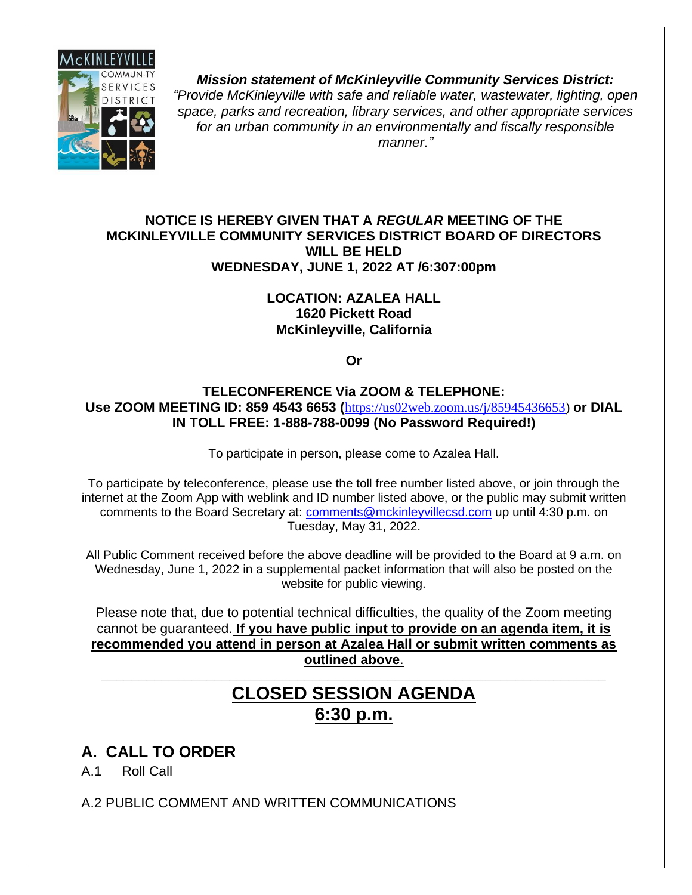

*Mission statement of McKinleyville Community Services District: "Provide McKinleyville with safe and reliable water, wastewater, lighting, open space, parks and recreation, library services, and other appropriate services for an urban community in an environmentally and fiscally responsible manner."*

#### **NOTICE IS HEREBY GIVEN THAT A** *REGULAR* **MEETING OF THE MCKINLEYVILLE COMMUNITY SERVICES DISTRICT BOARD OF DIRECTORS WILL BE HELD WEDNESDAY, JUNE 1, 2022 AT /6:307:00pm**

#### **LOCATION: AZALEA HALL 1620 Pickett Road McKinleyville, California**

**Or**

#### **TELECONFERENCE Via ZOOM & TELEPHONE: Use ZOOM MEETING ID: 859 4543 6653 (**[https://us02web.zoom.us/j/85945436653\)](https://us02web.zoom.us/j/85945436653) **or DIAL IN TOLL FREE: 1-888-788-0099 (No Password Required!)**

To participate in person, please come to Azalea Hall.

To participate by teleconference, please use the toll free number listed above, or join through the internet at the Zoom App with weblink and ID number listed above, or the public may submit written comments to the Board Secretary at: [comments@mckinleyvillecsd.com](mailto:contacts@mckinleyvillecsd.com) up until 4:30 p.m. on Tuesday, May 31, 2022.

All Public Comment received before the above deadline will be provided to the Board at 9 a.m. on Wednesday, June 1, 2022 in a supplemental packet information that will also be posted on the website for public viewing.

Please note that, due to potential technical difficulties, the quality of the Zoom meeting cannot be guaranteed. **If you have public input to provide on an agenda item, it is recommended you attend in person at Azalea Hall or submit written comments as outlined above**.

## **CLOSED SESSION AGENDA 6:30 p.m.**

**\_\_\_\_\_\_\_\_\_\_\_\_\_\_\_\_\_\_\_\_\_\_\_\_\_\_\_\_\_\_\_\_\_\_\_\_\_\_\_\_\_\_\_\_\_\_\_\_\_\_\_\_\_\_\_\_\_\_\_\_\_\_\_\_\_\_\_**

## **A. CALL TO ORDER**

A.1 Roll Call

A.2 PUBLIC COMMENT AND WRITTEN COMMUNICATIONS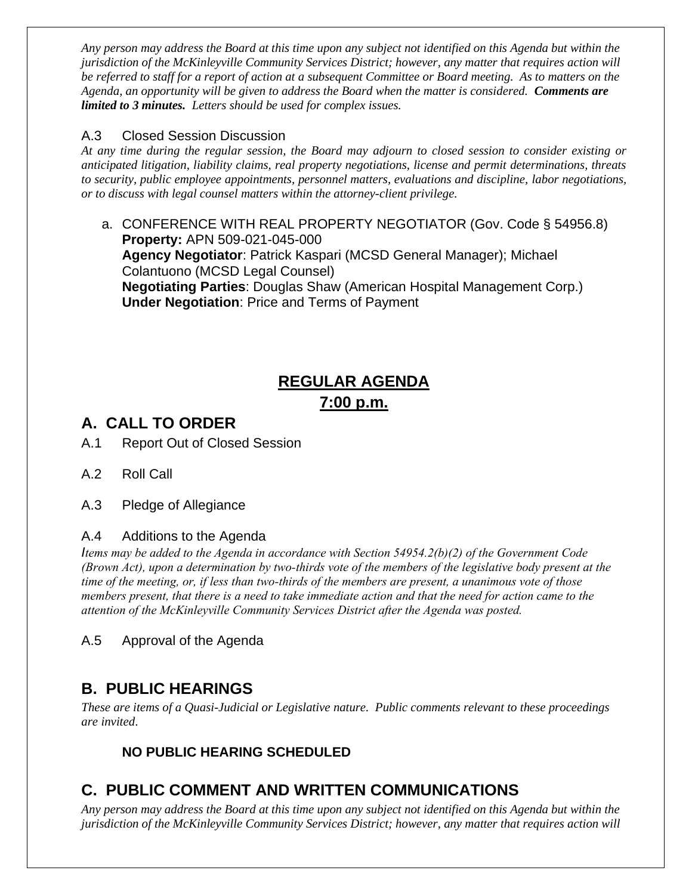*Any person may address the Board at this time upon any subject not identified on this Agenda but within the jurisdiction of the McKinleyville Community Services District; however, any matter that requires action will be referred to staff for a report of action at a subsequent Committee or Board meeting. As to matters on the Agenda, an opportunity will be given to address the Board when the matter is considered. Comments are limited to 3 minutes. Letters should be used for complex issues.*

#### A.3 Closed Session Discussion

*At any time during the regular session, the Board may adjourn to closed session to consider existing or anticipated litigation, liability claims, real property negotiations, license and permit determinations, threats to security, public employee appointments, personnel matters, evaluations and discipline, labor negotiations, or to discuss with legal counsel matters within the attorney-client privilege.*

a. CONFERENCE WITH REAL PROPERTY NEGOTIATOR (Gov. Code § 54956.8) **Property:** APN 509-021-045-000 **Agency Negotiator**: Patrick Kaspari (MCSD General Manager); Michael Colantuono (MCSD Legal Counsel) **Negotiating Parties**: Douglas Shaw (American Hospital Management Corp.) **Under Negotiation**: Price and Terms of Payment

## **REGULAR AGENDA 7:00 p.m.**

## **A. CALL TO ORDER**

A.1 Report Out of Closed Session

- A.2 Roll Call
- A.3 Pledge of Allegiance

#### A.4 Additions to the Agenda

*Items may be added to the Agenda in accordance with Section 54954.2(b)(2) of the Government Code (Brown Act), upon a determination by two-thirds vote of the members of the legislative body present at the time of the meeting, or, if less than two-thirds of the members are present, a unanimous vote of those members present, that there is a need to take immediate action and that the need for action came to the attention of the McKinleyville Community Services District after the Agenda was posted.* 

A.5 Approval of the Agenda

## **B. PUBLIC HEARINGS**

*These are items of a Quasi-Judicial or Legislative nature. Public comments relevant to these proceedings are invited*.

#### **NO PUBLIC HEARING SCHEDULED**

## **C. PUBLIC COMMENT AND WRITTEN COMMUNICATIONS**

*Any person may address the Board at this time upon any subject not identified on this Agenda but within the jurisdiction of the McKinleyville Community Services District; however, any matter that requires action will*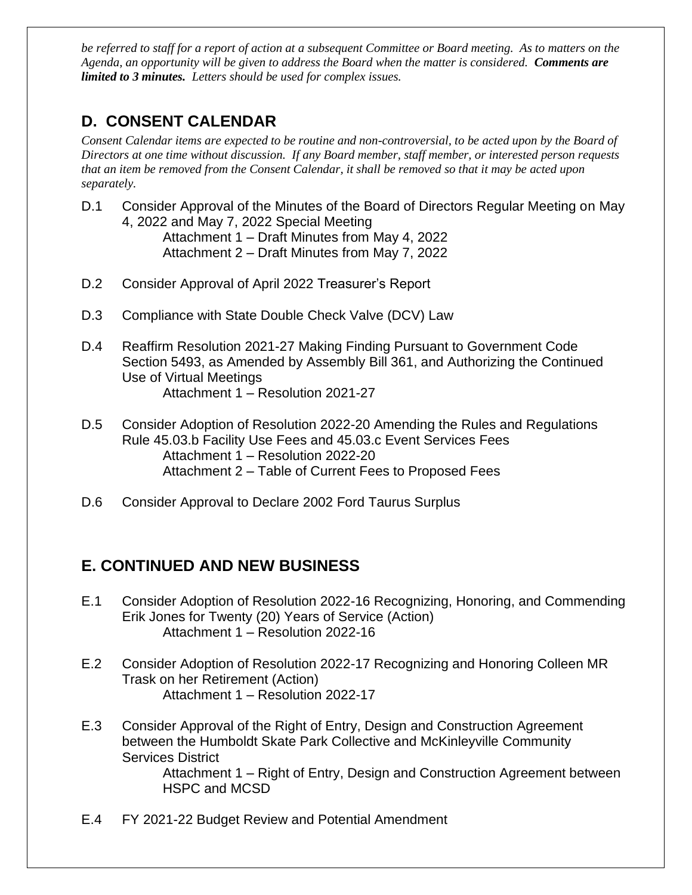*be referred to staff for a report of action at a subsequent Committee or Board meeting. As to matters on the Agenda, an opportunity will be given to address the Board when the matter is considered. Comments are limited to 3 minutes. Letters should be used for complex issues.*

## **D. CONSENT CALENDAR**

*Consent Calendar items are expected to be routine and non-controversial, to be acted upon by the Board of Directors at one time without discussion. If any Board member, staff member, or interested person requests that an item be removed from the Consent Calendar, it shall be removed so that it may be acted upon separately.*

- D.1 Consider Approval of the Minutes of the Board of Directors Regular Meeting on May 4, 2022 and May 7, 2022 Special Meeting Attachment 1 – Draft Minutes from May 4, 2022 Attachment 2 – Draft Minutes from May 7, 2022
- D.2 Consider Approval of April 2022 Treasurer's Report
- D.3 Compliance with State Double Check Valve (DCV) Law
- D.4 Reaffirm Resolution 2021-27 Making Finding Pursuant to Government Code Section 5493, as Amended by Assembly Bill 361, and Authorizing the Continued Use of Virtual Meetings Attachment 1 – Resolution 2021-27
- D.5 Consider Adoption of Resolution 2022-20 Amending the Rules and Regulations Rule 45.03.b Facility Use Fees and 45.03.c Event Services Fees Attachment 1 – Resolution 2022-20 Attachment 2 – Table of Current Fees to Proposed Fees
- D.6 Consider Approval to Declare 2002 Ford Taurus Surplus

### **E. CONTINUED AND NEW BUSINESS**

- E.1 Consider Adoption of Resolution 2022-16 Recognizing, Honoring, and Commending Erik Jones for Twenty (20) Years of Service (Action) Attachment 1 – Resolution 2022-16
- E.2 Consider Adoption of Resolution 2022-17 Recognizing and Honoring Colleen MR Trask on her Retirement (Action) Attachment 1 – Resolution 2022-17
- E.3 Consider Approval of the Right of Entry, Design and Construction Agreement between the Humboldt Skate Park Collective and McKinleyville Community Services District

Attachment 1 – Right of Entry, Design and Construction Agreement between HSPC and MCSD

E.4 FY 2021-22 Budget Review and Potential Amendment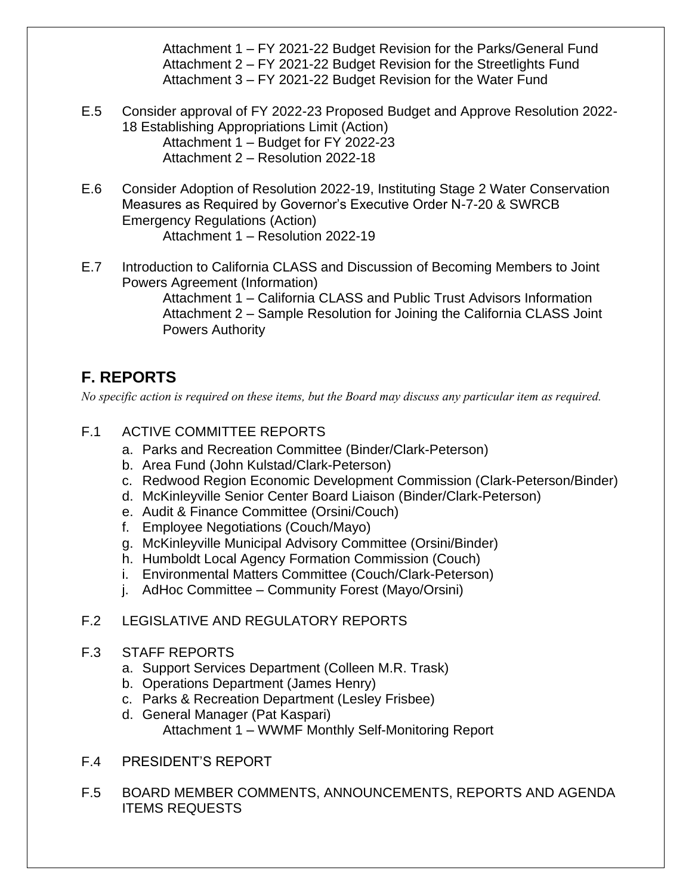Attachment 1 – FY 2021-22 Budget Revision for the Parks/General Fund Attachment 2 – FY 2021-22 Budget Revision for the Streetlights Fund Attachment 3 – FY 2021-22 Budget Revision for the Water Fund

- E.5 Consider approval of FY 2022-23 Proposed Budget and Approve Resolution 2022- 18 Establishing Appropriations Limit (Action) Attachment 1 – Budget for FY 2022-23 Attachment 2 – Resolution 2022-18
- E.6 Consider Adoption of Resolution 2022-19, Instituting Stage 2 Water Conservation Measures as Required by Governor's Executive Order N-7-20 & SWRCB Emergency Regulations (Action) Attachment 1 – Resolution 2022-19
- E.7 Introduction to California CLASS and Discussion of Becoming Members to Joint Powers Agreement (Information)

Attachment 1 – California CLASS and Public Trust Advisors Information Attachment 2 – Sample Resolution for Joining the California CLASS Joint Powers Authority

## **F. REPORTS**

*No specific action is required on these items, but the Board may discuss any particular item as required.*

#### F.1 ACTIVE COMMITTEE REPORTS

- a. Parks and Recreation Committee (Binder/Clark-Peterson)
- b. Area Fund (John Kulstad/Clark-Peterson)
- c. Redwood Region Economic Development Commission (Clark-Peterson/Binder)
- d. McKinleyville Senior Center Board Liaison (Binder/Clark-Peterson)
- e. Audit & Finance Committee (Orsini/Couch)
- f. Employee Negotiations (Couch/Mayo)
- g. McKinleyville Municipal Advisory Committee (Orsini/Binder)
- h. Humboldt Local Agency Formation Commission (Couch)
- i. Environmental Matters Committee (Couch/Clark-Peterson)
- j. AdHoc Committee Community Forest (Mayo/Orsini)

#### F.2 LEGISLATIVE AND REGULATORY REPORTS

#### F.3 STAFF REPORTS

- a. Support Services Department (Colleen M.R. Trask)
- b. Operations Department (James Henry)
- c. Parks & Recreation Department (Lesley Frisbee)
- d. General Manager (Pat Kaspari) Attachment 1 – WWMF Monthly Self-Monitoring Report
- F.4 PRESIDENT'S REPORT
- F.5 BOARD MEMBER COMMENTS, ANNOUNCEMENTS, REPORTS AND AGENDA ITEMS REQUESTS